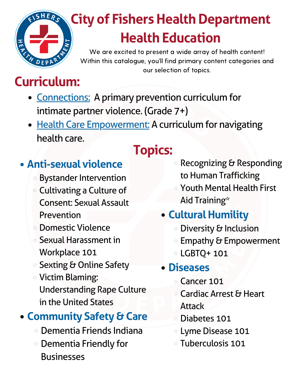

# **City of Fishers Health Department Health Education**

We are excited to present a wide array of health content! Within this catalogue, you'll find primary content categories and our selection of topics.

## **Curriculum:**

- Connections: A primary prevention curriculum for intimate partner violence. (Grade 7+)
- **Health Care Empowerment: A curriculum for navigating** health care.

#### **Anti-sexual violence**

- **o** Bystander Intervention
- Cultivating a Culture of Consent: Sexual Assault Prevention
- Domestic Violence
- Sexual Harassment in Workplace 101
- **Sexting & Online Safety**
- Victim Blaming: Understanding Rape Culture in the United States

### **Community Safety & Care**

- Dementia Friends Indiana
- Dementia Friendly for **Businesses**

# **Topics:**

- $\circ$  Recognizing & Responding to Human Trafficking
- Youth Mental Health First Aid Training\*
- **Cultural Humility** 
	- o Diversity & Inclusion
	- o Empathy & Empowerment
	- LGBTQ+ 101

#### **Diseases**

- Cancer 101
- o Cardiac Arrest & Heart **Attack**
- Diabetes 101
- Lyme Disease 101
- Tuberculosis 101